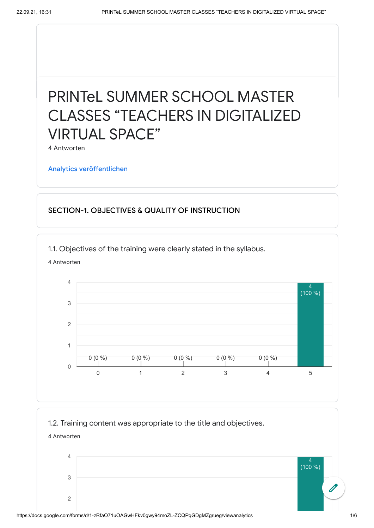## PRINTeL SUMMER SCHOOL MASTER CLASSES "TEACHERS IN DIGITALIZED VIRTUAL SPACE"

4 Antworten

Analytics [veröffentlichen](https://docs.google.com/forms/d/1-zRfaO71uOAGwHFkv0gwy94moZL-ZCQPqGDgMZgrueg/edit?usp=redirect_edit_m2#start=publishanalytics)

## SECTION-1. OBJECTIVES & QUALITY OF INSTRUCTION

1.1. Objectives of the training were clearly stated in the syllabus.



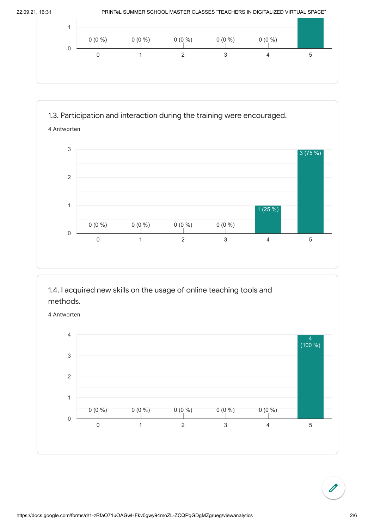



1.4. I acquired new skills on the usage of online teaching tools and methods.

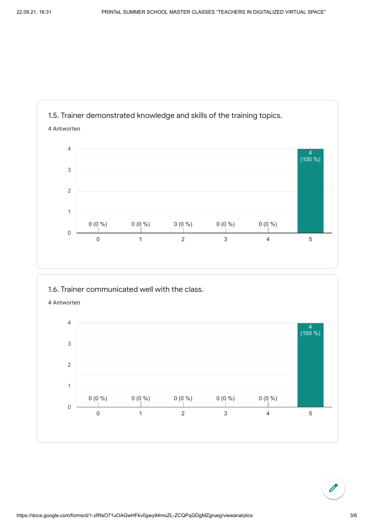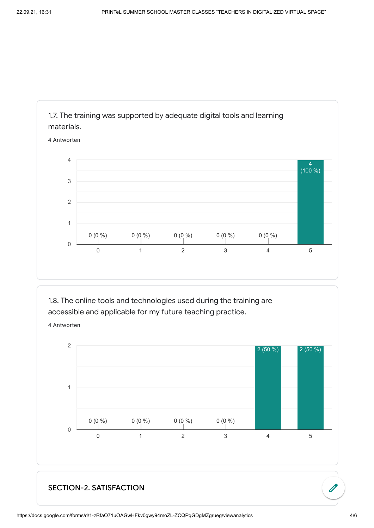

1.8. The online tools and technologies used during the training are accessible and applicable for my future teaching practice.

4 Antworten



## SECTION-2. SATISFACTION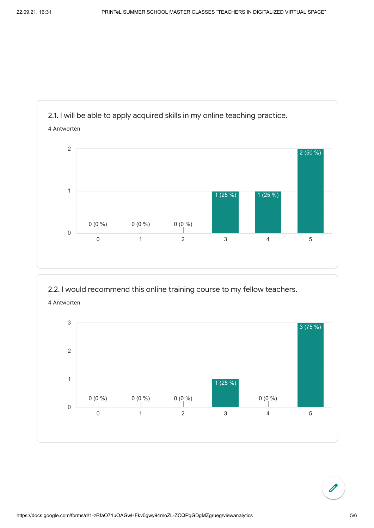